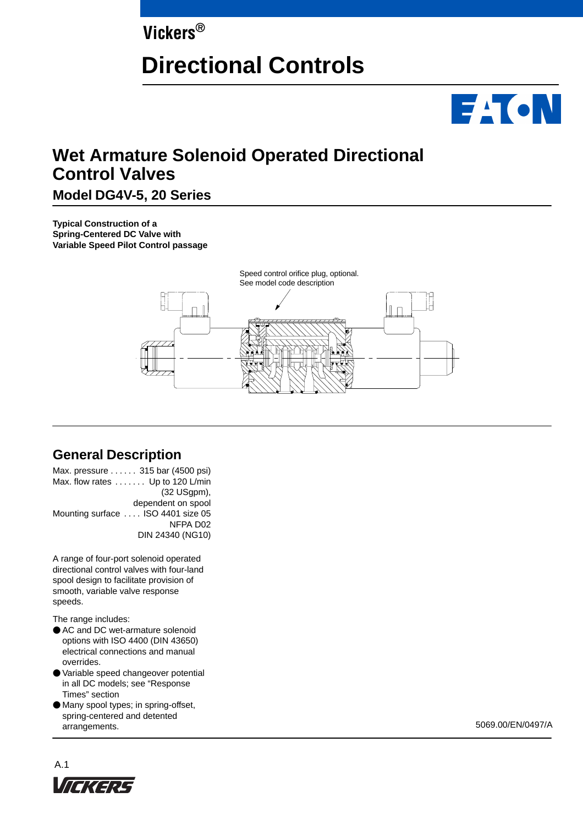# **Vickers®**

# **Directional Controls**



# **Wet Armature Solenoid Operated Directional Control Valves**

# **Model DG4V-5, 20 Series**

**Typical Construction of a Spring-Centered DC Valve with Variable Speed Pilot Control passage**



# **General Description**

Max. pressure . . . . . . 315 bar (4500 psi) Max. flow rates  $\dots \dots$  Up to 120 L/min (32 USgpm), dependent on spool Mounting surface .... ISO 4401 size 05 NFPA D02 DIN 24340 (NG10)

A range of four-port solenoid operated directional control valves with four-land spool design to facilitate provision of smooth, variable valve response speeds.

The range includes:

- AC and DC wet-armature solenoid options with ISO 4400 (DIN 43650) electrical connections and manual overrides.
- Variable speed changeover potential in all DC models; see "Response Times" section
- Many spool types; in spring-offset, spring-centered and detented arrangements. 5069.00/EN/0497/A

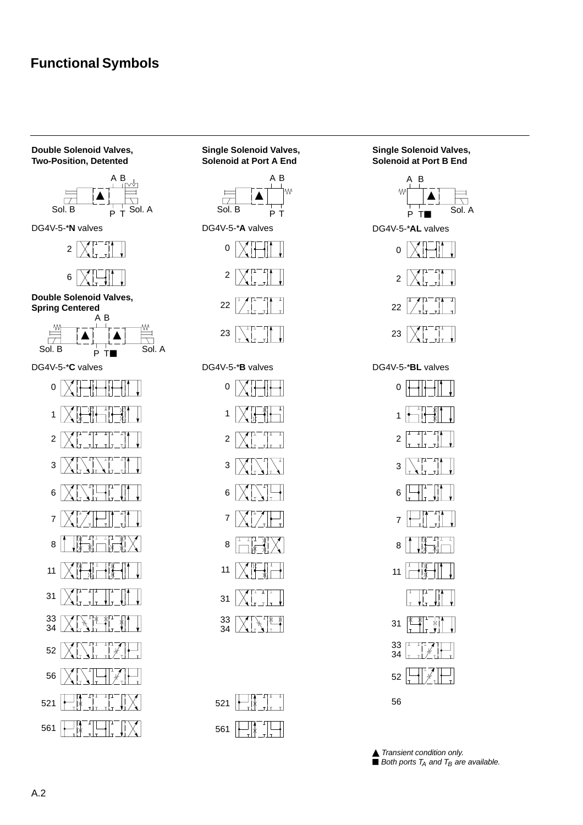# **Functional Symbols**

#### **Double Solenoid Valves, Two-Position, Detented**



DG4V-5-\***N** valves





**Double Solenoid Valves, Spring Centered**



DG4V-5-\***C** valves



### **Single Solenoid Valves, Solenoid at Port A End**











| 521 | — 1ж ⊥<br>$\overline{\phantom{a}}$ | 6 |
|-----|------------------------------------|---|
| 561 | ÷<br>— Ivk It                      |   |

### **Single Solenoid Valves, Solenoid at Port B End**



DG4V-5-\***A** valves DG4V-5-\***AL** valves





DG4V-5-\***B** valves DG4V-5-\***BL** valves

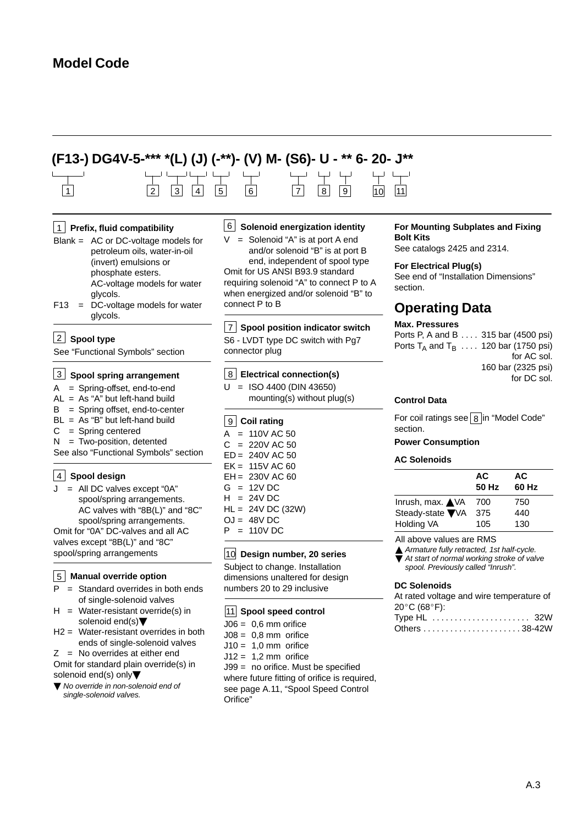# **Model Code**

# 1 2 3 4 5 6 7 8 9 11 **(F13-) DG4V-5-\*\*\* \*(L) (J) (-\*\*)- (V) M- (S6)- U - \*\* 6- 20- J\*\*** 10

#### **Prefix, fluid compatibility** 1

- Blank = AC or DC-voltage models for petroleum oils, water-in-oil (invert) emulsions or phosphate esters. AC-voltage models for water glycols.
- F13 = DC-voltage models for water glycols.

#### **Spool type** 2

See "Functional Symbols" section

#### **Spool spring arrangement**

- A = Spring-offset, end-to-end
- $AL = As "A" but left-hand build$
- B = Spring offset, end-to-center
- BL = As "B" but left-hand build  $C =$  Spring centered
- $N = Two-position, determined$

See also "Functional Symbols" section

### **Spool design** 4

 $J = All DC values except "0A"$ spool/spring arrangements. AC valves with "8B(L)" and "8C" spool/spring arrangements. Omit for "0A" DC-valves and all AC valves except "8B(L)" and "8C" spool/spring arrangements

#### **Manual override option** 5

- $P =$  Standard overrides in both ends of single-solenoid valves
- $H = Water-resistant override(s) in$ solenoid end(s)
- H2 = Water-resistant overrides in both ends of single-solenoid valves
- $Z = No$  overrides at either end

Omit for standard plain override(s) in solenoid end(s) only

▼ No override in non-solenoid end of single-solenoid valves.

#### **Solenoid energization identity** 6

 $=$  Solenoid "A" is at port A end and/or solenoid "B" is at port B end, independent of spool type Omit for US ANSI B93.9 standard requiring solenoid "A" to connect P to A when energized and/or solenoid "B" to connect P to B

### **Spool position indicator switch** 7

S6 - LVDT type DC switch with Pg7 connector plug

#### **Electrical connection(s)** 8

 $U = ISO 4400 (DIN 43650)$ mounting(s) without plug(s)

#### **Coil rating** 9

- $A = 110V AC 50$  $C = 220V$  AC 50 ED = 240V AC 50 EK = 115V AC 60 EH = 230V AC 60  $G = 12VDC$
- $H = 24V$  DC
- HL = 24V DC (32W)
- $OJ = 48V$  DC
- $P = 110V$  DC

#### **Design number, 20 series** 10

Subject to change. Installation dimensions unaltered for design numbers 20 to 29 inclusive

#### **Spool speed control** 11

 $J06 = 0.6$  mm orifice  $J08 = 0.8$  mm orifice  $J10 = 1,0$  mm orifice  $J12 = 1,2$  mm orifice J99 = no orifice. Must be specified where future fitting of orifice is required, see page A.11, "Spool Speed Control Orifice"

#### **For Mounting Subplates and Fixing Bolt Kits**

See catalogs 2425 and 2314.

#### **For Electrical Plug(s)**

See end of "Installation Dimensions" section.

# **Operating Data**

### **Max. Pressures**

Ports P, A and B  $\dots$  315 bar (4500 psi) Ports T<sub>A</sub> and T<sub>B</sub>  $\ldots$  120 bar (1750 psi) for AC sol. 160 bar (2325 psi) for DC sol.

#### **Control Data**

For coil ratings see  $|8|$ in "Model Code" section.

#### **Power Consumption**

#### **AC Solenoids**

|                          | AC<br>50 Hz | AС<br>60 Hz |
|--------------------------|-------------|-------------|
| Inrush, max. <b>▲</b> VA | 700         | 750         |
| Steady-state ▼VA         | 375         | 440         |
| Holding VA               | 105         | 130         |

All above values are RMS

Armature fully retracted, 1st half-cycle. At start of normal working stroke of valve spool. Previously called "Inrush".

#### **DC Solenoids**

| At rated voltage and wire temperature of |
|------------------------------------------|
| $20^{\circ}$ C (68 $^{\circ}$ F):        |
| Type HL  32W                             |
|                                          |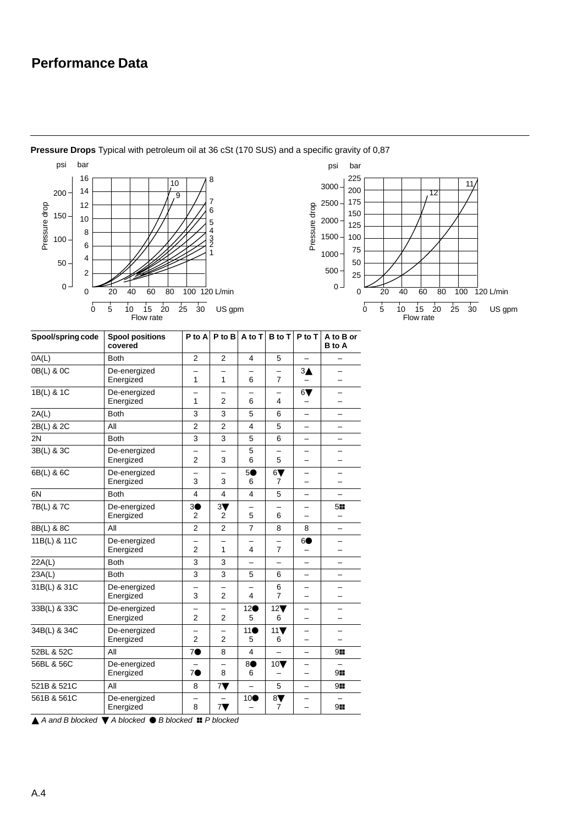# **Performance Data**



**Pressure Drops** Typical with petroleum oil at 36 cSt (170 SUS) and a specific gravity of 0,87

 $\triangle$  A and B blocked  $\nabla$  A blocked  $\odot$  B blocked  $\blacksquare$  P blocked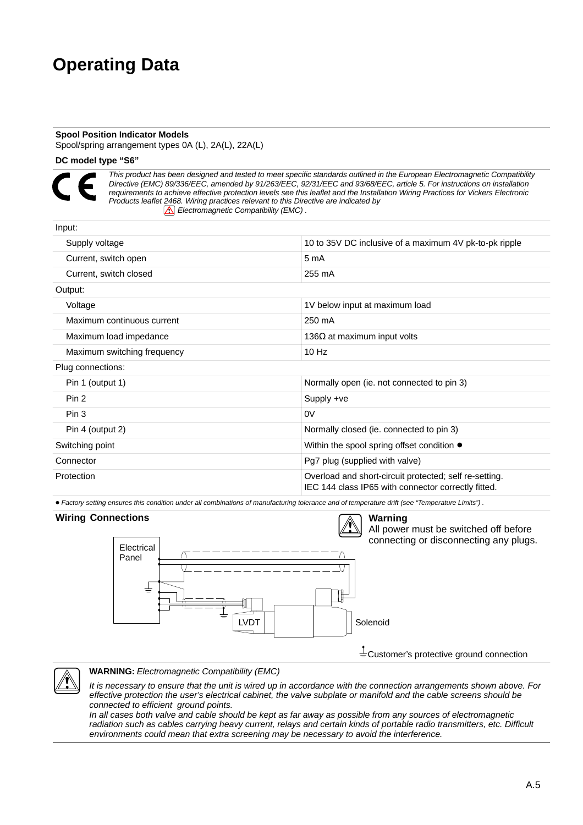# **Operating Data**

#### **Spool Position Indicator Models**

Spool/spring arrangement types 0A (L), 2A(L), 22A(L)

### **DC model type "S6"**



Input:

This product has been designed and tested to meet specific standards outlined in the European Electromagnetic Compatibility Directive (EMC) 89/336/EEC, amended by 91/263/EEC, 92/31/EEC and 93/68/EEC, article 5. For instructions on installation requirements to achieve effective protection levels see this leaflet and the Installation Wiring Practices for Vickers Electronic Products leaflet 2468. Wiring practices relevant to this Directive are indicated by  $\boxed{\triangle}$  Electromagnetic Compatibility (EMC).

| 10 to 35V DC inclusive of a maximum 4V pk-to-pk ripple                                                        |
|---------------------------------------------------------------------------------------------------------------|
| 5 <sub>m</sub> A                                                                                              |
| 255 mA                                                                                                        |
|                                                                                                               |
| 1V below input at maximum load                                                                                |
| 250 mA                                                                                                        |
| 136 $\Omega$ at maximum input volts                                                                           |
| $10$ Hz                                                                                                       |
|                                                                                                               |
| Normally open (ie. not connected to pin 3)                                                                    |
| Supply +ve                                                                                                    |
| 0V                                                                                                            |
| Normally closed (ie. connected to pin 3)                                                                      |
| Within the spool spring offset condition ●                                                                    |
| Pg7 plug (supplied with valve)                                                                                |
| Overload and short-circuit protected; self re-setting.<br>IEC 144 class IP65 with connector correctly fitted. |
|                                                                                                               |

Factory setting ensures this condition under all combinations of manufacturing tolerance and of temperature drift (see "Temperature Limits") .

# **Wiring Connections**

Electrical Panel



All power must be switched off before connecting or disconnecting any plugs.

Customer's protective ground connection

# **WARNING:** Electromagnetic Compatibility (EMC)

It is necessary to ensure that the unit is wired up in accordance with the connection arrangements shown above. For effective protection the user's electrical cabinet, the valve subplate or manifold and the cable screens should be connected to efficient ground points.

LVDT | | | | | | | Solenoid

In all cases both valve and cable should be kept as far away as possible from any sources of electromagnetic radiation such as cables carrying heavy current, relays and certain kinds of portable radio transmitters, etc. Difficult environments could mean that extra screening may be necessary to avoid the interference.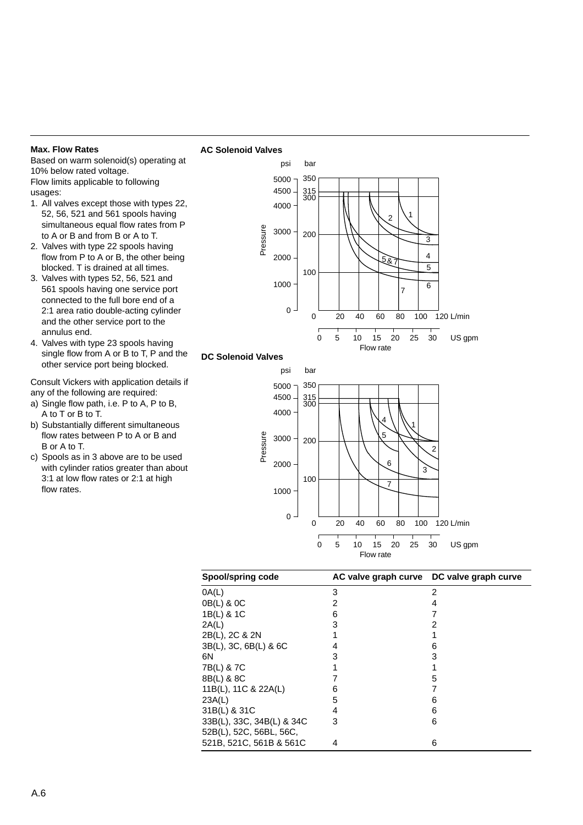#### **Max. Flow Rates**

Based on warm solenoid(s) operating at 10% below rated voltage. Flow limits applicable to following usages:

**AC Solenoid Valves**

- 1. All valves except those with types 22, 52, 56, 521 and 561 spools having simultaneous equal flow rates from P to A or B and from B or A to T.
- 2. Valves with type 22 spools having flow from P to A or B, the other being blocked. T is drained at all times.
- 3. Valves with types 52, 56, 521 and 561 spools having one service port connected to the full bore end of a 2:1 area ratio double-acting cylinder and the other service port to the annulus end.
- 4. Valves with type 23 spools having single flow from A or B to T, P and the other service port being blocked.

Consult Vickers with application details if any of the following are required:

- a) Single flow path, i.e. P to A, P to B, A to T or B to T.
- b) Substantially different simultaneous flow rates between P to A or B and B or A to T.
- c) Spools as in 3 above are to be used with cylinder ratios greater than about 3:1 at low flow rates or 2:1 at high flow rates.



Flow rate

| Spool/spring code                                    |   | AC valve graph curve DC valve graph curve |
|------------------------------------------------------|---|-------------------------------------------|
| 0A(L)                                                | 3 | 2                                         |
| 0B(L) & 0C                                           | 2 | 4                                         |
| 1B(L) & 1C                                           | 6 |                                           |
| 2A(L)                                                | 3 |                                           |
| 2B(L), 2C & 2N                                       |   |                                           |
| 3B(L), 3C, 6B(L) & 6C                                | 4 | 6                                         |
| 6Ν                                                   | 3 | 3                                         |
| 7B(L) & 7C                                           |   |                                           |
| 8B(L) & 8C                                           |   | 5                                         |
| 11B(L), 11C & 22A(L)                                 | 6 |                                           |
| 23A(L)                                               | 5 | 6                                         |
| 31B(L) & 31C                                         | 4 | 6                                         |
| 33B(L), 33C, 34B(L) & 34C<br>52B(L), 52C, 56BL, 56C, | 3 | 6                                         |
| 521B, 521C, 561B & 561C                              | 4 | 6                                         |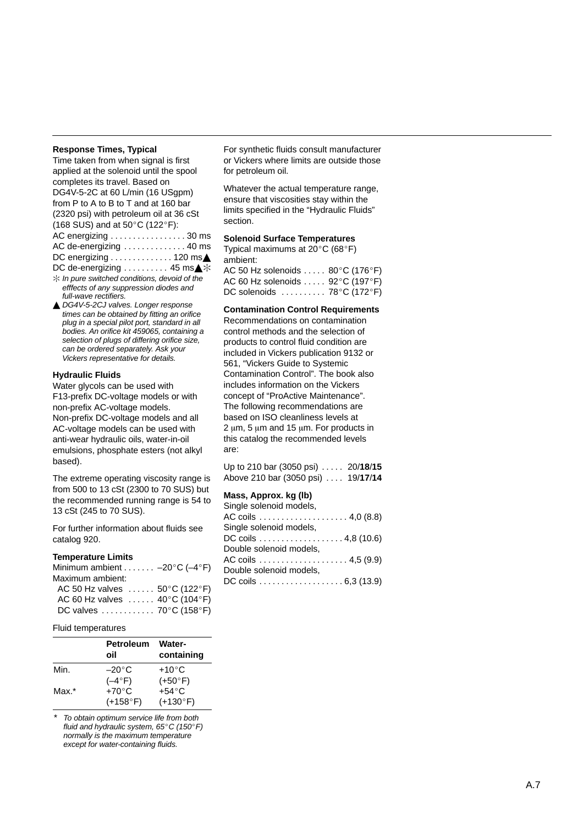#### **Response Times, Typical**

| Time taken from when signal is first           |
|------------------------------------------------|
| applied at the solenoid until the spool        |
| completes its travel. Based on                 |
| DG4V-5-2C at 60 L/min (16 USgpm)               |
| from P to A to B to T and at 160 bar           |
| (2320 psi) with petroleum oil at 36 cSt        |
| (168 SUS) and at 50°C (122°F):                 |
| AC energizing 30 ms                            |
| AC de-energizing  40 ms                        |
| DC energizing 120 ms▲                          |
| DC de-energizing 45 ms▲ *                      |
| $*$ In pure switched conditions, devoid of the |

 $*$  In pure switched conditions, devoid of the efffects of any suppression diodes and full-wave rectifiers.

▲ DG4V-5-2CJ valves. Longer response times can be obtained by fitting an orifice plug in a special pilot port, standard in all bodies. An orifice kit 459065, containing a selection of plugs of differing orifice size, can be ordered separately. Ask your Vickers representative for details.

#### **Hydraulic Fluids**

Water glycols can be used with F13-prefix DC-voltage models or with non-prefix AC-voltage models. Non-prefix DC-voltage models and all AC-voltage models can be used with anti-wear hydraulic oils, water-in-oil emulsions, phosphate esters (not alkyl based).

The extreme operating viscosity range is from 500 to 13 cSt (2300 to 70 SUS) but the recommended running range is 54 to 13 cSt (245 to 70 SUS).

For further information about fluids see catalog 920.

#### **Temperature Limits**

| Minimum ambient $-20^{\circ}$ C (-4°F)        |  |
|-----------------------------------------------|--|
| Maximum ambient:                              |  |
| AC 50 Hz valves $\ldots$ 50°C (122°F)         |  |
| AC 60 Hz valves $\ldots$ 40°C (104°F)         |  |
| DC valves  70 $^{\circ}$ C (158 $^{\circ}$ F) |  |

#### Fluid temperatures

|       | <b>Petroleum</b><br>oil | <b>Water-</b><br>containing |
|-------|-------------------------|-----------------------------|
| Min.  | $-20\degree$ C          | $+10^{\circ}$ C             |
|       | $(-4^{\circ}F)$         | $(+50^{\circ}F)$            |
| Max.* | $+70^{\circ}$ C         | $+54^{\circ}$ C             |
|       | $(+158°F)$              | $(+130°F)$                  |

To obtain optimum service life from both fluid and hydraulic system,  $65^{\circ}$ C (150 $^{\circ}$ F) normally is the maximum temperature except for water-containing fluids.

For synthetic fluids consult manufacturer or Vickers where limits are outside those for petroleum oil.

Whatever the actual temperature range, ensure that viscosities stay within the limits specified in the "Hydraulic Fluids " section.

#### **Solenoid Surface Temperatures**

Typical maximums at 20 C (68 F) ambient:

| AC 50 Hz solenoids $\,\dots\,$ . 80°C (176°F) |  |
|-----------------------------------------------|--|
| AC 60 Hz solenoids 92°C (197°F)               |  |
| DC solenoids ..........78°C (172°F)           |  |

#### **Contamination Control Requirements**

Recommendations on contamination control methods and the selection of products to control fluid condition are included in Vickers publication 9132 or 561, "Vickers Guide to Systemic Contamination Control ". The book also includes information on the Vickers concept of "ProActive Maintenance " . The following recommendations are based on ISO cleanliness levels at 2  $\mu$ m, 5  $\mu$ m and 15  $\mu$ m. For products in this catalog the recommended levels are:

Up to 210 bar (3050 psi) . . . . . 20/18/15 Above 210 bar (3050 psi) . . . . 19/17/14

### **Mass, Approx. kg (lb)**

| Single solenoid models, |
|-------------------------|
|                         |
| Single solenoid models, |
| DC coils 4,8 (10.6)     |
| Double solenoid models, |
|                         |
| Double solenoid models, |
| DC coils 6,3 (13.9)     |
|                         |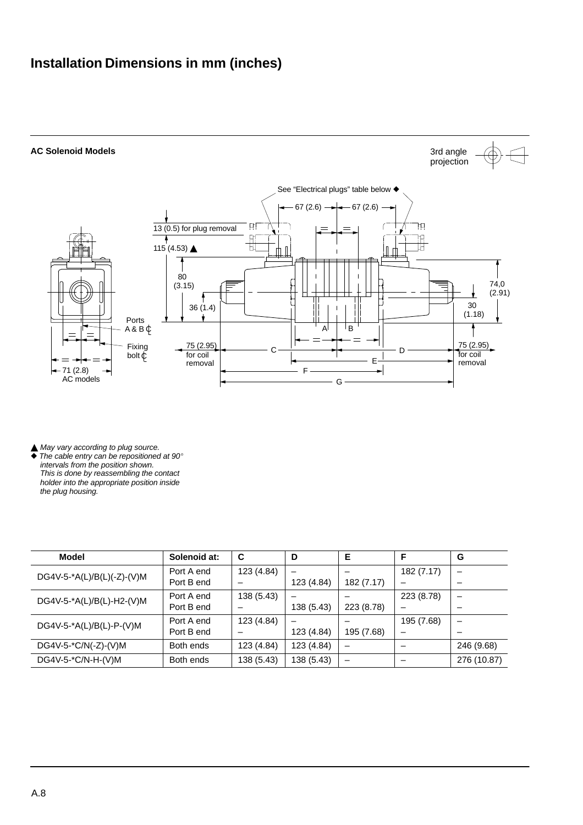# **Installation Dimensions in mm (inches)**



 $\triangle$  May vary according to plug source.<br> $\blacklozenge$  The cable entry can be repositioned

The cable entry can be repositioned at  $90^\circ$ intervals from the position shown. This is done by reassembling the contact holder into the appropriate position inside the plug housing.

| Model                      | Solenoid at: | C          | D                        | Е                        | F                        | G                        |
|----------------------------|--------------|------------|--------------------------|--------------------------|--------------------------|--------------------------|
| DG4V-5-*A(L)/B(L)(-Z)-(V)M | Port A end   | 123 (4.84) |                          |                          | 182 (7.17)               | -                        |
|                            | Port B end   |            | 123 (4.84)               | 182 (7.17)               | $\overline{\phantom{0}}$ |                          |
| DG4V-5-*A(L)/B(L)-H2-(V)M  | Port A end   | 138 (5.43) | $\overline{\phantom{0}}$ |                          | 223 (8.78)               | $\overline{\phantom{0}}$ |
|                            | Port B end   |            | 138 (5.43)               | 223 (8.78)               | -                        |                          |
| DG4V-5-*A(L)/B(L)-P-(V)M   | Port A end   | 123 (4.84) |                          |                          | 195 (7.68)               |                          |
|                            | Port B end   |            | 123 (4.84)               | 195 (7.68)               | $\overline{\phantom{0}}$ |                          |
| DG4V-5-*C/N(-Z)-(V)M       | Both ends    | 123 (4.84) | 123 (4.84)               | $\overline{\phantom{0}}$ |                          | 246 (9.68)               |
| DG4V-5-*C/N-H-(V)M         | Both ends    | 138 (5.43) | 138 (5.43)               | $\qquad \qquad$          |                          | 276 (10.87)              |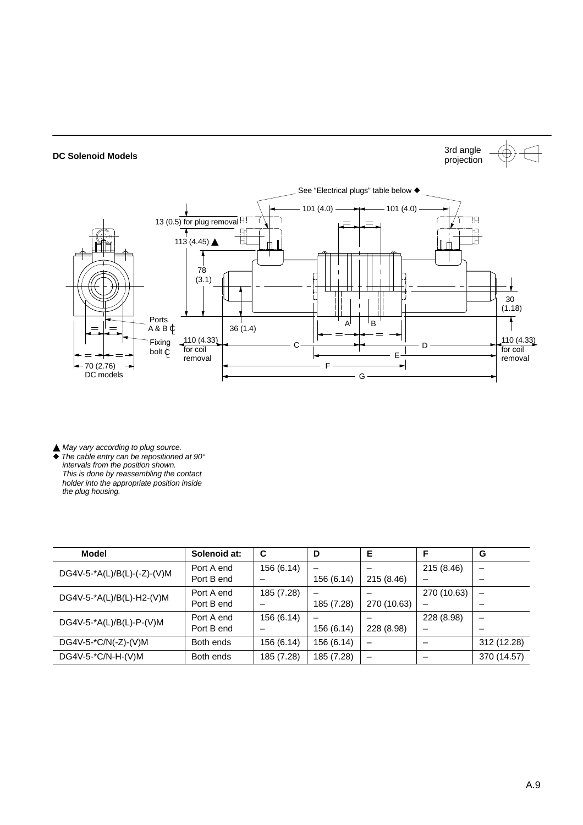

**▲ May vary according to plug source.**  $\blacklozenge$  The cable entry can be repositioned at 90 $^{\circ}$ intervals from the position shown. This is done by reassembling the contact holder into the appropriate position inside the plug housing.

| <b>Model</b>                | Solenoid at: | C          | D                        | Е                 | F           | G                        |
|-----------------------------|--------------|------------|--------------------------|-------------------|-------------|--------------------------|
| DG4V-5-*A(L)/B(L)-(-Z)-(V)M | Port A end   | 156 (6.14) | -                        |                   | 215 (8.46)  | $\overline{\phantom{0}}$ |
|                             | Port B end   |            | 156 (6.14)               | 215 (8.46)        | -           |                          |
| DG4V-5-*A(L)/B(L)-H2-(V)M   | Port A end   | 185 (7.28) | $\overline{\phantom{0}}$ |                   | 270 (10.63) |                          |
|                             | Port B end   |            | 185 (7.28)               | 270 (10.63)       | -           |                          |
| DG4V-5-*A(L)/B(L)-P-(V)M    | Port A end   | 156 (6.14) | -                        |                   | 228 (8.98)  | $\overline{\phantom{0}}$ |
|                             | Port B end   |            | 156 (6.14)               | 228 (8.98)        | -           |                          |
| $DG4V-5-*C/N(-Z)-(V)M$      | Both ends    | 156 (6.14) | 156 (6.14)               |                   |             | 312 (12.28)              |
| DG4V-5-*C/N-H-(V)M          | Both ends    | 185 (7.28) | 185 (7.28)               | $\qquad \qquad =$ | –           | 370 (14.57)              |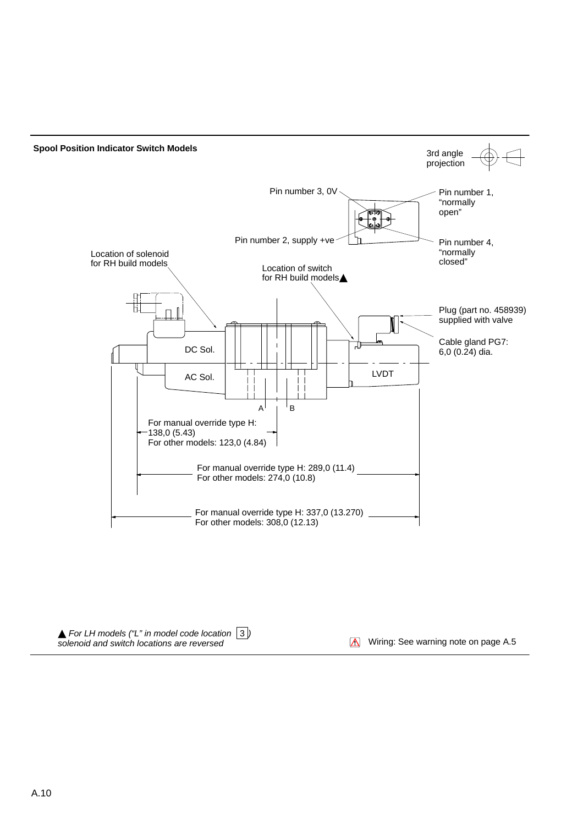

 $\blacktriangle$  For LH models ("L" in model code location  $\lfloor 3 \rfloor$ ) solenoid and switch locations are reversed 3

Wiring: See warning note on page A.5